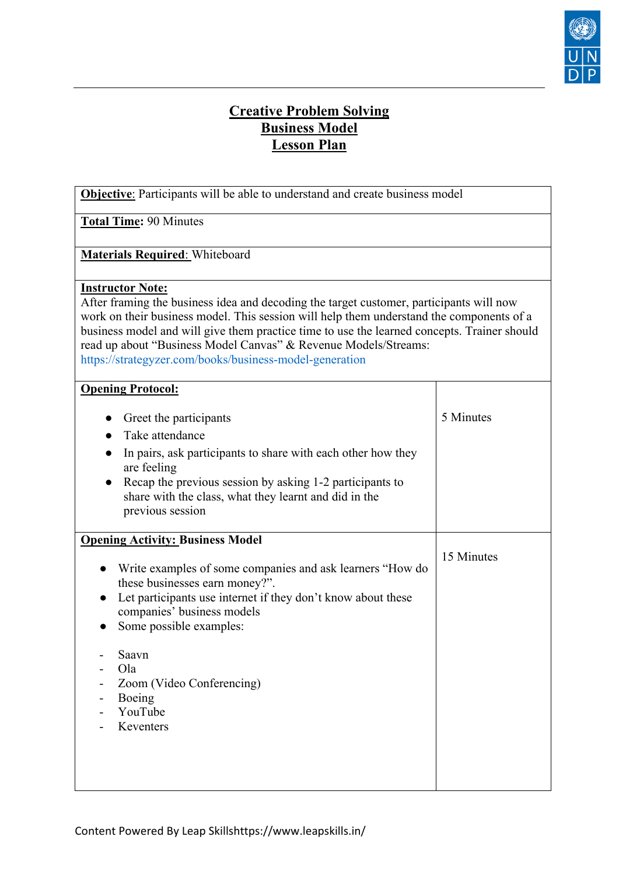

## **Creative Problem Solving Business Model Lesson Plan**

| <b>Objective:</b> Participants will be able to understand and create business model                                                                                                                                                                                                                                                                                                                                                         |            |  |
|---------------------------------------------------------------------------------------------------------------------------------------------------------------------------------------------------------------------------------------------------------------------------------------------------------------------------------------------------------------------------------------------------------------------------------------------|------------|--|
| <b>Total Time: 90 Minutes</b>                                                                                                                                                                                                                                                                                                                                                                                                               |            |  |
| <b>Materials Required:</b> Whiteboard                                                                                                                                                                                                                                                                                                                                                                                                       |            |  |
| <b>Instructor Note:</b><br>After framing the business idea and decoding the target customer, participants will now<br>work on their business model. This session will help them understand the components of a<br>business model and will give them practice time to use the learned concepts. Trainer should<br>read up about "Business Model Canvas" & Revenue Models/Streams:<br>https://strategyzer.com/books/business-model-generation |            |  |
| <b>Opening Protocol:</b>                                                                                                                                                                                                                                                                                                                                                                                                                    |            |  |
| Greet the participants<br>Take attendance<br>In pairs, ask participants to share with each other how they<br>are feeling<br>Recap the previous session by asking 1-2 participants to<br>share with the class, what they learnt and did in the<br>previous session                                                                                                                                                                           | 5 Minutes  |  |
| <b>Opening Activity: Business Model</b><br>Write examples of some companies and ask learners "How do<br>$\bullet$<br>these businesses earn money?".<br>Let participants use internet if they don't know about these<br>companies' business models<br>Some possible examples:<br>Saavn<br>Ola<br>Zoom (Video Conferencing)<br>Boeing<br>YouTube<br>Keventers                                                                                 | 15 Minutes |  |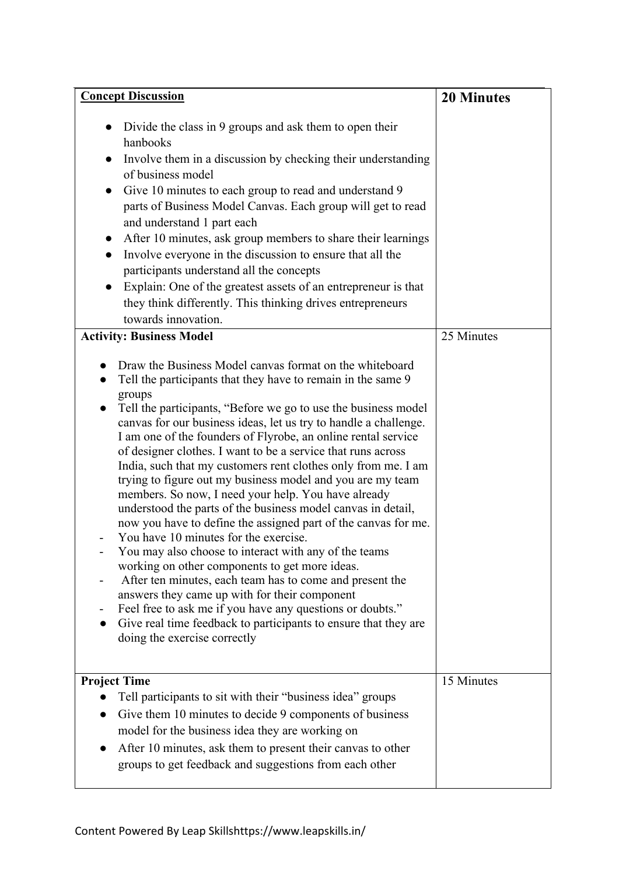| <b>Concept Discussion</b>                                                                                                                                                                                                                                                                                                                                                                                                                                                                                                                                                                                                                                                                                                                                                                                                                                                                                                                                                                                                                                                                                                                                                                                                                                                                                                                                                                                                                                                                                                                                                                                                                                                                                                                                                                                                                                                                      | <b>20 Minutes</b> |
|------------------------------------------------------------------------------------------------------------------------------------------------------------------------------------------------------------------------------------------------------------------------------------------------------------------------------------------------------------------------------------------------------------------------------------------------------------------------------------------------------------------------------------------------------------------------------------------------------------------------------------------------------------------------------------------------------------------------------------------------------------------------------------------------------------------------------------------------------------------------------------------------------------------------------------------------------------------------------------------------------------------------------------------------------------------------------------------------------------------------------------------------------------------------------------------------------------------------------------------------------------------------------------------------------------------------------------------------------------------------------------------------------------------------------------------------------------------------------------------------------------------------------------------------------------------------------------------------------------------------------------------------------------------------------------------------------------------------------------------------------------------------------------------------------------------------------------------------------------------------------------------------|-------------------|
| Divide the class in 9 groups and ask them to open their<br>$\bullet$<br>hanbooks<br>Involve them in a discussion by checking their understanding<br>of business model<br>Give 10 minutes to each group to read and understand 9<br>$\bullet$<br>parts of Business Model Canvas. Each group will get to read<br>and understand 1 part each<br>After 10 minutes, ask group members to share their learnings<br>$\bullet$<br>Involve everyone in the discussion to ensure that all the<br>participants understand all the concepts<br>Explain: One of the greatest assets of an entrepreneur is that<br>they think differently. This thinking drives entrepreneurs<br>towards innovation.<br><b>Activity: Business Model</b><br>Draw the Business Model canvas format on the whiteboard<br>Tell the participants that they have to remain in the same 9<br>groups<br>Tell the participants, "Before we go to use the business model<br>canvas for our business ideas, let us try to handle a challenge.<br>I am one of the founders of Flyrobe, an online rental service<br>of designer clothes. I want to be a service that runs across<br>India, such that my customers rent clothes only from me. I am<br>trying to figure out my business model and you are my team<br>members. So now, I need your help. You have already<br>understood the parts of the business model canvas in detail,<br>now you have to define the assigned part of the canvas for me.<br>You have 10 minutes for the exercise.<br>You may also choose to interact with any of the teams<br>working on other components to get more ideas.<br>After ten minutes, each team has to come and present the<br>answers they came up with for their component<br>Feel free to ask me if you have any questions or doubts."<br>Give real time feedback to participants to ensure that they are<br>doing the exercise correctly | 25 Minutes        |
| <b>Project Time</b><br>Tell participants to sit with their "business idea" groups<br>Give them 10 minutes to decide 9 components of business<br>model for the business idea they are working on<br>After 10 minutes, ask them to present their canvas to other<br>groups to get feedback and suggestions from each other                                                                                                                                                                                                                                                                                                                                                                                                                                                                                                                                                                                                                                                                                                                                                                                                                                                                                                                                                                                                                                                                                                                                                                                                                                                                                                                                                                                                                                                                                                                                                                       | 15 Minutes        |